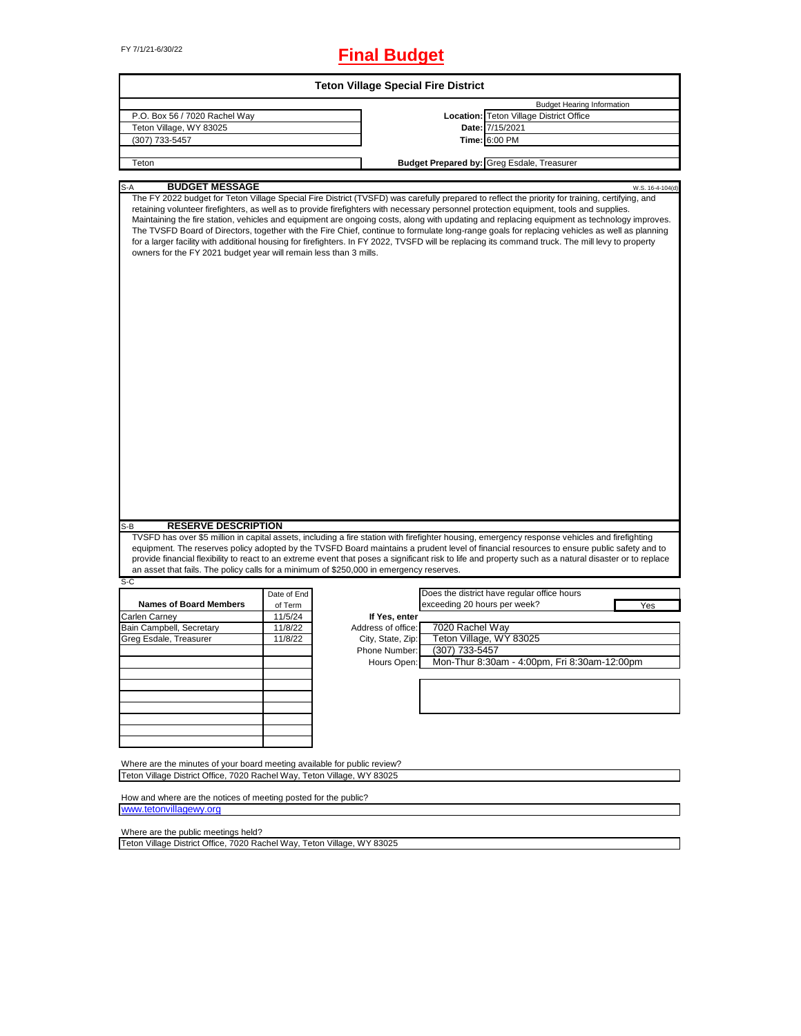# FY 7/1/21-6/30/22 **Final Budget**

|                                                                                                                                                     |             | <b>Teton Village Special Fire District</b> |                              |                                                                                                                                                                                                                                                                                                                                                                                                                                                                                                                                                                                                                                                                                                                                                |                  |
|-----------------------------------------------------------------------------------------------------------------------------------------------------|-------------|--------------------------------------------|------------------------------|------------------------------------------------------------------------------------------------------------------------------------------------------------------------------------------------------------------------------------------------------------------------------------------------------------------------------------------------------------------------------------------------------------------------------------------------------------------------------------------------------------------------------------------------------------------------------------------------------------------------------------------------------------------------------------------------------------------------------------------------|------------------|
|                                                                                                                                                     |             |                                            |                              | <b>Budget Hearing Information</b>                                                                                                                                                                                                                                                                                                                                                                                                                                                                                                                                                                                                                                                                                                              |                  |
| P.O. Box 56 / 7020 Rachel Way                                                                                                                       |             |                                            |                              | Location: Teton Village District Office                                                                                                                                                                                                                                                                                                                                                                                                                                                                                                                                                                                                                                                                                                        |                  |
| Teton Village, WY 83025                                                                                                                             |             |                                            |                              | Date: 7/15/2021                                                                                                                                                                                                                                                                                                                                                                                                                                                                                                                                                                                                                                                                                                                                |                  |
| (307) 733-5457                                                                                                                                      |             |                                            |                              | Time: 6:00 PM                                                                                                                                                                                                                                                                                                                                                                                                                                                                                                                                                                                                                                                                                                                                  |                  |
| Teton                                                                                                                                               |             |                                            |                              | <b>Budget Prepared by: Greg Esdale, Treasurer</b>                                                                                                                                                                                                                                                                                                                                                                                                                                                                                                                                                                                                                                                                                              |                  |
|                                                                                                                                                     |             |                                            |                              |                                                                                                                                                                                                                                                                                                                                                                                                                                                                                                                                                                                                                                                                                                                                                |                  |
| <b>BUDGET MESSAGE</b><br>S-A                                                                                                                        |             |                                            |                              |                                                                                                                                                                                                                                                                                                                                                                                                                                                                                                                                                                                                                                                                                                                                                | W.S. 16-4-104(d) |
| owners for the FY 2021 budget year will remain less than 3 mills.                                                                                   |             |                                            |                              | The FY 2022 budget for Teton Village Special Fire District (TVSFD) was carefully prepared to reflect the priority for training, certifying, and<br>retaining volunteer firefighters, as well as to provide firefighters with necessary personnel protection equipment, tools and supplies.<br>Maintaining the fire station, vehicles and equipment are ongoing costs, along with updating and replacing equipment as technology improves.<br>The TVSFD Board of Directors, together with the Fire Chief, continue to formulate long-range goals for replacing vehicles as well as planning<br>for a larger facility with additional housing for firefighters. In FY 2022, TVSFD will be replacing its command truck. The mill levy to property |                  |
|                                                                                                                                                     |             |                                            |                              |                                                                                                                                                                                                                                                                                                                                                                                                                                                                                                                                                                                                                                                                                                                                                |                  |
| <b>RESERVE DESCRIPTION</b><br>S-B                                                                                                                   |             |                                            |                              |                                                                                                                                                                                                                                                                                                                                                                                                                                                                                                                                                                                                                                                                                                                                                |                  |
| an asset that fails. The policy calls for a minimum of \$250,000 in emergency reserves.                                                             |             |                                            |                              | TVSFD has over \$5 million in capital assets, including a fire station with firefighter housing, emergency response vehicles and firefighting<br>equipment. The reserves policy adopted by the TVSFD Board maintains a prudent level of financial resources to ensure public safety and to<br>provide financial flexibility to react to an extreme event that poses a significant risk to life and property such as a natural disaster or to replace                                                                                                                                                                                                                                                                                           |                  |
| $S-C$                                                                                                                                               |             |                                            |                              |                                                                                                                                                                                                                                                                                                                                                                                                                                                                                                                                                                                                                                                                                                                                                |                  |
|                                                                                                                                                     | Date of End |                                            |                              | Does the district have regular office hours                                                                                                                                                                                                                                                                                                                                                                                                                                                                                                                                                                                                                                                                                                    |                  |
| <b>Names of Board Members</b>                                                                                                                       | of Term     |                                            | exceeding 20 hours per week? |                                                                                                                                                                                                                                                                                                                                                                                                                                                                                                                                                                                                                                                                                                                                                | Yes              |
| Carlen Carney                                                                                                                                       | 11/5/24     | If Yes, enter                              |                              |                                                                                                                                                                                                                                                                                                                                                                                                                                                                                                                                                                                                                                                                                                                                                |                  |
| Bain Campbell, Secretary                                                                                                                            | 11/8/22     | Address of office:                         | 7020 Rachel Way              |                                                                                                                                                                                                                                                                                                                                                                                                                                                                                                                                                                                                                                                                                                                                                |                  |
| Greg Esdale, Treasurer                                                                                                                              | 11/8/22     | City, State, Zip:                          |                              | Teton Village, WY 83025                                                                                                                                                                                                                                                                                                                                                                                                                                                                                                                                                                                                                                                                                                                        |                  |
|                                                                                                                                                     |             | Phone Number:                              | (307) 733-5457               |                                                                                                                                                                                                                                                                                                                                                                                                                                                                                                                                                                                                                                                                                                                                                |                  |
|                                                                                                                                                     |             | Hours Open:                                |                              | Mon-Thur 8:30am - 4:00pm, Fri 8:30am-12:00pm                                                                                                                                                                                                                                                                                                                                                                                                                                                                                                                                                                                                                                                                                                   |                  |
|                                                                                                                                                     |             |                                            |                              |                                                                                                                                                                                                                                                                                                                                                                                                                                                                                                                                                                                                                                                                                                                                                |                  |
|                                                                                                                                                     |             |                                            |                              |                                                                                                                                                                                                                                                                                                                                                                                                                                                                                                                                                                                                                                                                                                                                                |                  |
|                                                                                                                                                     |             |                                            |                              |                                                                                                                                                                                                                                                                                                                                                                                                                                                                                                                                                                                                                                                                                                                                                |                  |
|                                                                                                                                                     |             |                                            |                              |                                                                                                                                                                                                                                                                                                                                                                                                                                                                                                                                                                                                                                                                                                                                                |                  |
|                                                                                                                                                     |             |                                            |                              |                                                                                                                                                                                                                                                                                                                                                                                                                                                                                                                                                                                                                                                                                                                                                |                  |
|                                                                                                                                                     |             |                                            |                              |                                                                                                                                                                                                                                                                                                                                                                                                                                                                                                                                                                                                                                                                                                                                                |                  |
|                                                                                                                                                     |             |                                            |                              |                                                                                                                                                                                                                                                                                                                                                                                                                                                                                                                                                                                                                                                                                                                                                |                  |
|                                                                                                                                                     |             |                                            |                              |                                                                                                                                                                                                                                                                                                                                                                                                                                                                                                                                                                                                                                                                                                                                                |                  |
|                                                                                                                                                     |             |                                            |                              |                                                                                                                                                                                                                                                                                                                                                                                                                                                                                                                                                                                                                                                                                                                                                |                  |
| Where are the minutes of your board meeting available for public review?<br>Teton Village District Office, 7020 Rachel Way, Teton Village, WY 83025 |             |                                            |                              |                                                                                                                                                                                                                                                                                                                                                                                                                                                                                                                                                                                                                                                                                                                                                |                  |

[www.teton](http://www.tetonvillagewy.org/)villagewy.org

Where are the public meetings held?

Teton Village District Office, 7020 Rachel Way, Teton Village, WY 83025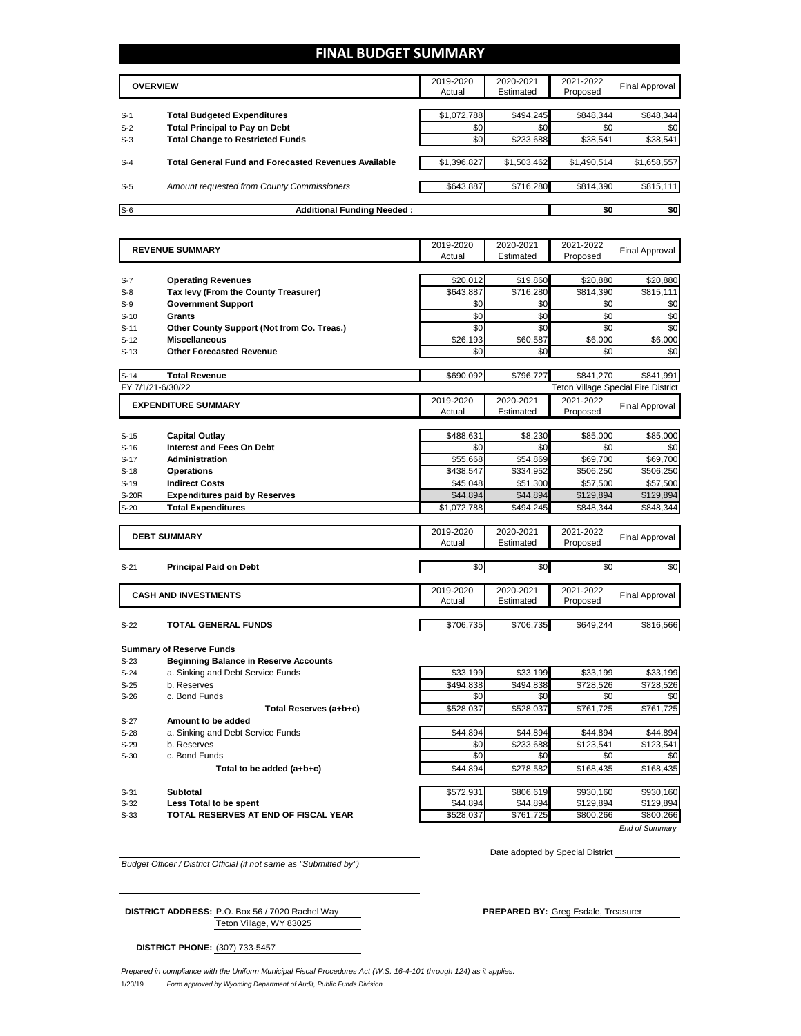### **FINAL BUDGET SUMMARY**

|       | <b>OVERVIEW</b>                                             | 2019-2020<br>Actual | 2020-2021<br>Estimated | 2021-2022<br>Proposed | Final Approval |
|-------|-------------------------------------------------------------|---------------------|------------------------|-----------------------|----------------|
|       |                                                             |                     |                        |                       |                |
| $S-1$ | <b>Total Budgeted Expenditures</b>                          | \$1,072,788         | \$494.245              | \$848.344             | \$848,344      |
| $S-2$ | <b>Total Principal to Pay on Debt</b>                       | \$0                 | \$0                    | \$0                   | \$0            |
| $S-3$ | <b>Total Change to Restricted Funds</b>                     | \$0                 | \$233,688              | \$38,541              | \$38,541       |
|       |                                                             |                     |                        |                       |                |
| $S-4$ | <b>Total General Fund and Forecasted Revenues Available</b> | \$1,396,827         | \$1,503,462            | \$1,490,514           | \$1,658,557    |
|       |                                                             |                     |                        |                       |                |
| $S-5$ | Amount requested from County Commissioners                  | \$643.887           | \$716.280              | \$814.390             | \$815,111      |
|       |                                                             |                     |                        |                       |                |
| $S-6$ | <b>Additional Funding Needed:</b>                           |                     |                        | \$0                   | \$0            |

|                   | <b>REVENUE SUMMARY</b>                                                            | 2019-2020        | 2020-2021        | 2021-2022                                  | <b>Final Approval</b> |
|-------------------|-----------------------------------------------------------------------------------|------------------|------------------|--------------------------------------------|-----------------------|
|                   |                                                                                   | Actual           | Estimated        | Proposed                                   |                       |
|                   |                                                                                   |                  |                  |                                            |                       |
| $S-7$             | <b>Operating Revenues</b>                                                         | \$20,012         | \$19,860         | \$20,880                                   | \$20,880              |
| $S-8$             | Tax levy (From the County Treasurer)                                              | \$643,887        | \$716,280        | \$814,390                                  | \$815,111             |
| $S-9$             | <b>Government Support</b>                                                         | \$0              | \$0              | \$0                                        | \$0                   |
| $S-10$            | Grants                                                                            | \$0              | \$0              | \$0                                        | \$0                   |
| $S-11$            | Other County Support (Not from Co. Treas.)                                        | \$0              | \$0              | \$0                                        | \$0                   |
| $S-12$            | <b>Miscellaneous</b>                                                              | \$26,193         | \$60,587         | \$6,000                                    | \$6,000               |
| $S-13$            | <b>Other Forecasted Revenue</b>                                                   | \$0              | \$0              | \$0                                        | \$0                   |
|                   |                                                                                   |                  |                  |                                            |                       |
| $S-14$            | <b>Total Revenue</b>                                                              | \$690,092        | \$796,727        | \$841.270                                  | \$841,991             |
| FY 7/1/21-6/30/22 |                                                                                   |                  |                  | <b>Teton Village Special Fire District</b> |                       |
|                   | <b>EXPENDITURE SUMMARY</b>                                                        | 2019-2020        | 2020-2021        | 2021-2022                                  | <b>Final Approval</b> |
|                   |                                                                                   | Actual           | Estimated        | Proposed                                   |                       |
|                   |                                                                                   |                  |                  |                                            |                       |
| $S-15$            | <b>Capital Outlay</b>                                                             | \$488,631        | \$8,230          | \$85,000                                   | \$85,000              |
| $S-16$            | <b>Interest and Fees On Debt</b>                                                  | \$0              | \$0              | \$0                                        | \$0                   |
| $S-17$            | <b>Administration</b>                                                             | \$55,668         | \$54,869         | \$69,700                                   | \$69,700              |
| $S-18$            | <b>Operations</b>                                                                 | \$438,547        | \$334,952        | \$506,250                                  | \$506,250             |
| $S-19$            | <b>Indirect Costs</b>                                                             | \$45,048         | \$51,300         | \$57,500                                   | \$57,500              |
| S-20R             | <b>Expenditures paid by Reserves</b>                                              | \$44,894         | \$44,894         | \$129,894                                  | \$129,894             |
| $S-20$            | <b>Total Expenditures</b>                                                         | \$1,072,788      | \$494,245        | \$848,344                                  | \$848,344             |
|                   |                                                                                   |                  |                  |                                            |                       |
|                   |                                                                                   | 2019-2020        | 2020-2021        | 2021-2022                                  |                       |
|                   |                                                                                   |                  |                  |                                            |                       |
|                   | <b>DEBT SUMMARY</b>                                                               | Actual           | Estimated        | Proposed                                   | <b>Final Approval</b> |
|                   |                                                                                   |                  |                  |                                            |                       |
| $S-21$            | <b>Principal Paid on Debt</b>                                                     | \$0              | \$0              | \$0                                        | \$0                   |
|                   |                                                                                   |                  |                  |                                            |                       |
|                   |                                                                                   | 2019-2020        | 2020-2021        | 2021-2022                                  |                       |
|                   | <b>CASH AND INVESTMENTS</b>                                                       | Actual           | Estimated        | Proposed                                   | <b>Final Approval</b> |
|                   |                                                                                   |                  |                  |                                            |                       |
| $S-22$            | <b>TOTAL GENERAL FUNDS</b>                                                        | \$706,735        | \$706,735        | \$649,244                                  | \$816,566             |
|                   |                                                                                   |                  |                  |                                            |                       |
|                   | <b>Summary of Reserve Funds</b>                                                   |                  |                  |                                            |                       |
| $S-23$            |                                                                                   |                  |                  |                                            |                       |
| $S-24$            | <b>Beginning Balance in Reserve Accounts</b><br>a. Sinking and Debt Service Funds | \$33,199         | \$33,199         | \$33,199                                   | \$33,199              |
|                   |                                                                                   |                  |                  |                                            |                       |
| $S-25$<br>$S-26$  | b. Reserves<br>c. Bond Funds                                                      | \$494,838<br>\$0 | \$494,838<br>\$0 | \$728,526<br>\$0                           | \$728,526<br>\$0      |
|                   |                                                                                   |                  |                  |                                            |                       |
|                   | Total Reserves (a+b+c)                                                            | \$528,037        | \$528,037        | \$761,725                                  | \$761,725             |
| $S-27$            | Amount to be added                                                                |                  |                  |                                            |                       |
| $S-28$            | a. Sinking and Debt Service Funds                                                 | \$44.894         | \$44.894         | \$44.894                                   | \$44,894              |
| $S-29$            | b. Reserves                                                                       | \$0              | \$233,688        | \$123,541                                  | \$123,541             |
| $S-30$            | c. Bond Funds                                                                     | \$0              | \$0              | \$0                                        | \$0                   |
|                   | Total to be added (a+b+c)                                                         | \$44,894         | \$278,582        | \$168,435                                  | \$168,435             |
| $S-31$            | Subtotal                                                                          | \$572,931        | \$806,619        | \$930,160                                  | \$930,160             |

S-33 **TOTAL RESERVES AT END OF FISCAL YEAR** \$528,037 \$761,725 \$800,266 \$800,266

*Budget Officer / District Official (if not same as "Submitted by")*

Date adopted by Special District

Teton Village, WY 83025 **DISTRICT ADDRESS:** P.O. Box 56 / 7020 Rachel Way **PREPARED BY:** Greg Esdale, Treasurer

**DISTRICT PHONE:** (307) 733-5457

*End of Summary*

1/23/19 *Form approved by Wyoming Department of Audit, Public Funds Division Prepared in compliance with the Uniform Municipal Fiscal Procedures Act (W.S. 16-4-101 through 124) as it applies.*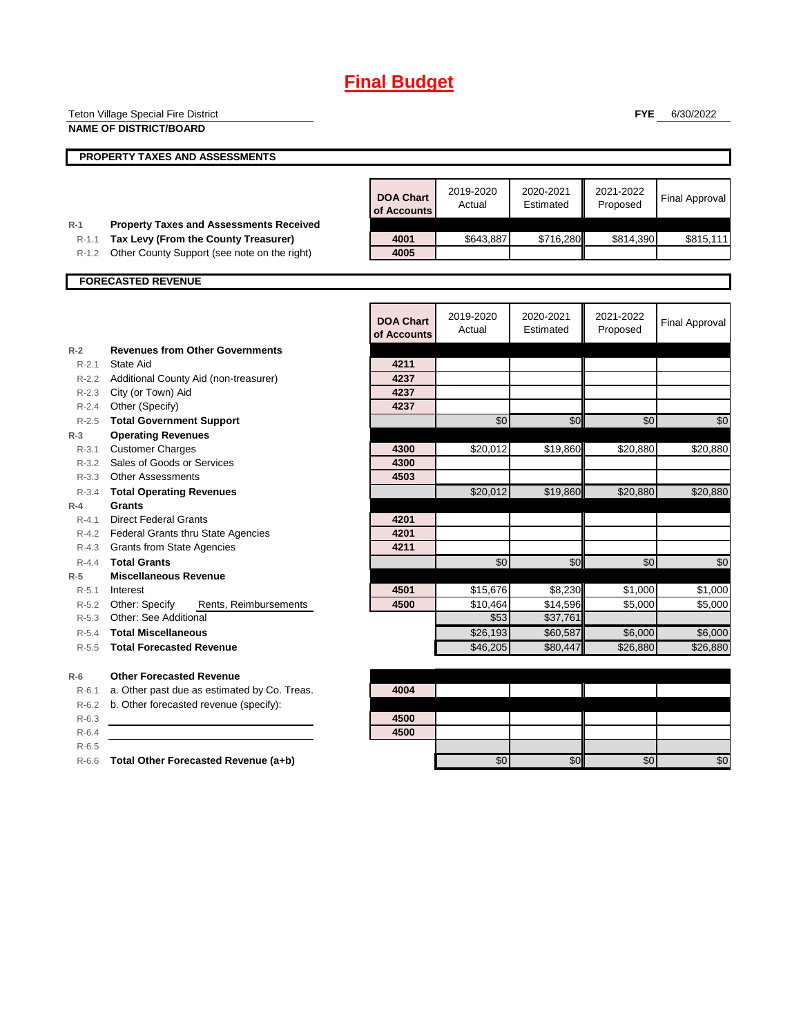# **Final Budget**

|                    | <b>Teton Village Special Fire District</b>                                |                  |           |           | <b>FYE</b> | 6/30/2022             |
|--------------------|---------------------------------------------------------------------------|------------------|-----------|-----------|------------|-----------------------|
|                    | <b>NAME OF DISTRICT/BOARD</b>                                             |                  |           |           |            |                       |
|                    |                                                                           |                  |           |           |            |                       |
|                    | PROPERTY TAXES AND ASSESSMENTS                                            |                  |           |           |            |                       |
|                    |                                                                           |                  |           |           |            |                       |
|                    |                                                                           | <b>DOA Chart</b> | 2019-2020 | 2020-2021 | 2021-2022  | <b>Final Approval</b> |
|                    |                                                                           | of Accounts      | Actual    | Estimated | Proposed   |                       |
| $R-1$              | <b>Property Taxes and Assessments Received</b>                            |                  |           |           |            |                       |
| $R-1.1$            | Tax Levy (From the County Treasurer)                                      | 4001             | \$643,887 | \$716,280 | \$814,390  | \$815,111             |
| R-1.2              | Other County Support (see note on the right)                              | 4005             |           |           |            |                       |
|                    | <b>FORECASTED REVENUE</b>                                                 |                  |           |           |            |                       |
|                    |                                                                           |                  |           |           |            |                       |
|                    |                                                                           |                  |           |           |            |                       |
|                    |                                                                           | <b>DOA Chart</b> | 2019-2020 | 2020-2021 | 2021-2022  | <b>Final Approval</b> |
|                    |                                                                           | of Accounts      | Actual    | Estimated | Proposed   |                       |
| $R-2$              | <b>Revenues from Other Governments</b>                                    |                  |           |           |            |                       |
| $R - 2.1$          | State Aid                                                                 | 4211             |           |           |            |                       |
| $R-2.2$            | Additional County Aid (non-treasurer)                                     | 4237             |           |           |            |                       |
| $R - 2.3$          | City (or Town) Aid                                                        | 4237             |           |           |            |                       |
| R-2.4              | Other (Specify)                                                           | 4237             |           |           |            |                       |
| R-2.5              | <b>Total Government Support</b>                                           |                  | \$0       | \$0       | \$0        | \$0                   |
| $R-3$              | <b>Operating Revenues</b>                                                 |                  |           |           |            |                       |
| $R - 3.1$          | <b>Customer Charges</b>                                                   | 4300             | \$20,012  | \$19,860  | \$20,880   | \$20,880              |
| R-3.2              | Sales of Goods or Services                                                | 4300             |           |           |            |                       |
| $R - 3.3$          | <b>Other Assessments</b>                                                  | 4503             |           |           |            |                       |
| R-3.4              | <b>Total Operating Revenues</b>                                           |                  | \$20,012  | \$19,860  | \$20,880   | \$20,880              |
| $R-4$              | Grants                                                                    | 4201             |           |           |            |                       |
| $R - 4.1$<br>R-4.2 | <b>Direct Federal Grants</b><br><b>Federal Grants thru State Agencies</b> | 4201             |           |           |            |                       |
| R-4.3              | <b>Grants from State Agencies</b>                                         | 4211             |           |           |            |                       |
| $R - 4.4$          | <b>Total Grants</b>                                                       |                  | \$0       | \$0       | \$0        | \$0                   |
| $R-5$              | <b>Miscellaneous Revenue</b>                                              |                  |           |           |            |                       |
| $R - 5.1$          | Interest                                                                  | 4501             | \$15,676  | \$8,230   | \$1,000    | \$1,000               |
| R-5.2              | Other: Specify<br>Rents, Reimbursements                                   | 4500             | \$10,464  | \$14,596  | \$5,000    | \$5,000               |
| $R-5.3$            | Other: See Additional                                                     |                  | \$53      | \$37,761  |            |                       |
| R-5.4              | <b>Total Miscellaneous</b>                                                |                  | \$26,193  | \$60,587  | \$6,000    | \$6,000               |
| $R - 5.5$          | <b>Total Forecasted Revenue</b>                                           |                  | \$46,205  | \$80.447  | \$26,880   | \$26,880              |
|                    |                                                                           |                  |           |           |            |                       |
| $R-6$              | <b>Other Forecasted Revenue</b>                                           |                  |           |           |            |                       |
| R-6.1              | a. Other past due as estimated by Co. Treas.                              | 4004             |           |           |            |                       |
| $R-6.2$            | b. Other forecasted revenue (specify):                                    |                  |           |           |            |                       |
| $R-6.3$            |                                                                           | 4500             |           |           |            |                       |
| $R-6.4$            |                                                                           | 4500             |           |           |            |                       |
| $R-6.5$            |                                                                           |                  |           |           |            |                       |
|                    | R-6.6 Total Other Forecasted Revenue (a+b)                                |                  | \$0       | \$0       | \$0        | \$0                   |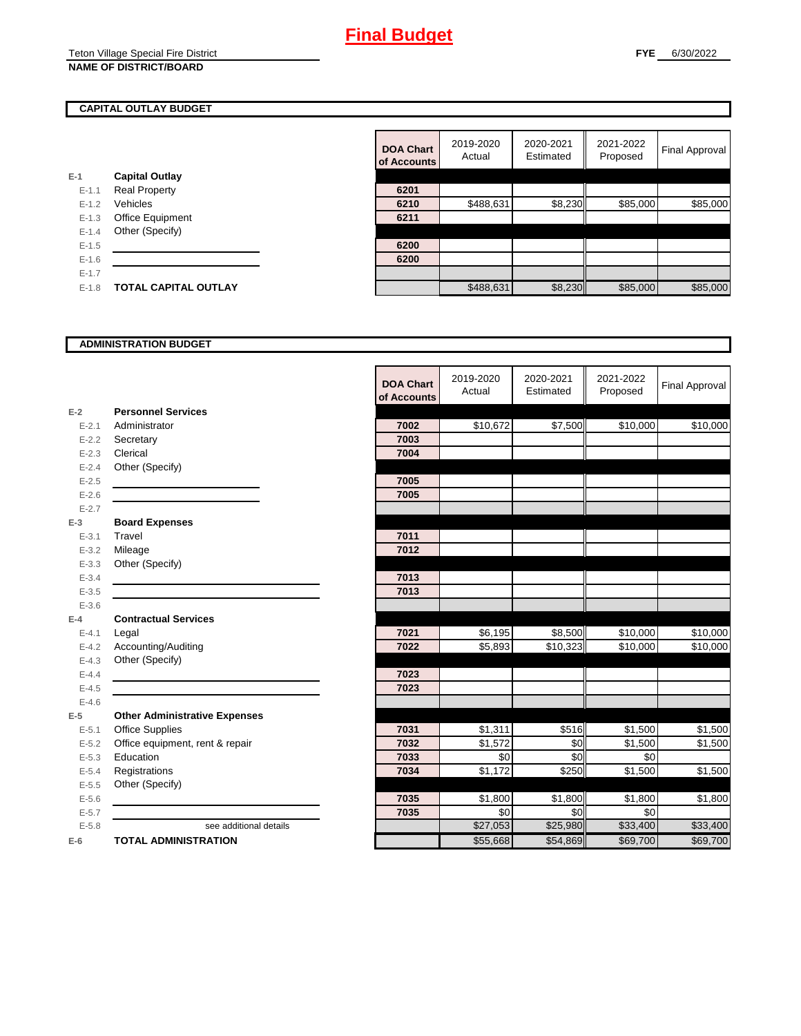#### **FYE** 6/30/2022

#### **CAPITAL OUTLAY BUDGET**

|           |                             | VI AVVVJ |
|-----------|-----------------------------|----------|
| $E-1$     | <b>Capital Outlay</b>       |          |
| $E - 1.1$ | <b>Real Property</b>        | 6201     |
| $E - 1.2$ | Vehicles                    | 6210     |
| $E-1.3$   | Office Equipment            | 6211     |
| $E - 1.4$ | Other (Specify)             |          |
| $E - 1.5$ |                             | 6200     |
| $E - 1.6$ |                             | 6200     |
| $E-1.7$   |                             |          |
| $E - 1.8$ | <b>TOTAL CAPITAL OUTLAY</b> |          |
|           |                             |          |

|           |                             | <b>DOA Chart</b><br>of Accounts | 2019-2020<br>Actual | 2020-2021<br>Estimated | 2021-2022<br>Proposed | Final Approval |
|-----------|-----------------------------|---------------------------------|---------------------|------------------------|-----------------------|----------------|
|           | <b>Capital Outlay</b>       |                                 |                     |                        |                       |                |
| $E - 1.1$ | <b>Real Property</b>        | 6201                            |                     |                        |                       |                |
| $E - 1.2$ | Vehicles                    | 6210                            | \$488,631           | \$8,230                | \$85,000              | \$85,000       |
| $E - 1.3$ | Office Equipment            | 6211                            |                     |                        |                       |                |
| $E - 1.4$ | Other (Specify)             |                                 |                     |                        |                       |                |
| $E-1.5$   |                             | 6200                            |                     |                        |                       |                |
| $E-1.6$   |                             | 6200                            |                     |                        |                       |                |
| $E - 1.7$ |                             |                                 |                     |                        |                       |                |
| $E-1.8$   | <b>TOTAL CAPITAL OUTLAY</b> |                                 | \$488,631           | \$8,230                | \$85,000              | \$85,000       |

#### **ADMINISTRATION BUDGET**

|           |                                      | <b>DOA Chart</b><br>of Accounts | 2019-2020<br>Actual | 2020-2021<br>Estimated | 2021-2022<br>Proposed | <b>Final Approval</b> |
|-----------|--------------------------------------|---------------------------------|---------------------|------------------------|-----------------------|-----------------------|
| $E-2$     | <b>Personnel Services</b>            |                                 |                     |                        |                       |                       |
| $E - 2.1$ | Administrator                        | 7002                            | \$10,672            | \$7,500                | \$10,000              | \$10,000              |
| $E - 2.2$ | Secretary                            | 7003                            |                     |                        |                       |                       |
| $E - 2.3$ | Clerical                             | 7004                            |                     |                        |                       |                       |
| $E - 2.4$ | Other (Specify)                      |                                 |                     |                        |                       |                       |
| $E-2.5$   |                                      | 7005                            |                     |                        |                       |                       |
| $E - 2.6$ |                                      | 7005                            |                     |                        |                       |                       |
| $E - 2.7$ |                                      |                                 |                     |                        |                       |                       |
| $E-3$     | <b>Board Expenses</b>                |                                 |                     |                        |                       |                       |
| $E - 3.1$ | Travel                               | 7011                            |                     |                        |                       |                       |
| $E - 3.2$ | Mileage                              | 7012                            |                     |                        |                       |                       |
| $E - 3.3$ | Other (Specify)                      |                                 |                     |                        |                       |                       |
| $E - 3.4$ |                                      | 7013                            |                     |                        |                       |                       |
| $E - 3.5$ |                                      | 7013                            |                     |                        |                       |                       |
| $E - 3.6$ |                                      |                                 |                     |                        |                       |                       |
| $E-4$     | <b>Contractual Services</b>          |                                 |                     |                        |                       |                       |
| $E - 4.1$ | Legal                                | 7021                            | \$6,195             | \$8,500                | \$10,000              | \$10,000              |
| $E-4.2$   | Accounting/Auditing                  | 7022                            | \$5,893             | \$10,323               | \$10,000              | \$10,000              |
| $E - 4.3$ | Other (Specify)                      |                                 |                     |                        |                       |                       |
| $E-4.4$   |                                      | 7023                            |                     |                        |                       |                       |
| $E-4.5$   |                                      | 7023                            |                     |                        |                       |                       |
| $E-4.6$   |                                      |                                 |                     |                        |                       |                       |
| $E-5$     | <b>Other Administrative Expenses</b> |                                 |                     |                        |                       |                       |
| $E - 5.1$ | <b>Office Supplies</b>               | 7031                            | \$1,311             | \$516                  | \$1,500               | \$1,500               |
| $E - 5.2$ | Office equipment, rent & repair      | 7032                            | \$1,572             | \$0                    | \$1,500               | \$1,500               |
| $E - 5.3$ | Education                            | 7033                            | \$0                 | \$0                    | \$0                   |                       |
| $E - 5.4$ | Registrations                        | 7034                            | \$1,172             | \$250                  | \$1,500               | \$1,500               |
| $E-5.5$   | Other (Specify)                      |                                 |                     |                        |                       |                       |
| $E - 5.6$ |                                      | 7035                            | \$1,800             | \$1,800                | \$1,800               | \$1,800               |
| $E - 5.7$ |                                      | 7035                            | \$0                 | \$0                    | \$0                   |                       |
| $E - 5.8$ | see additional details               |                                 | \$27,053            | \$25,980               | \$33,400              | \$33,400              |
| $E-6$     | <b>TOTAL ADMINISTRATION</b>          |                                 | \$55,668            | \$54,869               | \$69,700              | \$69,700              |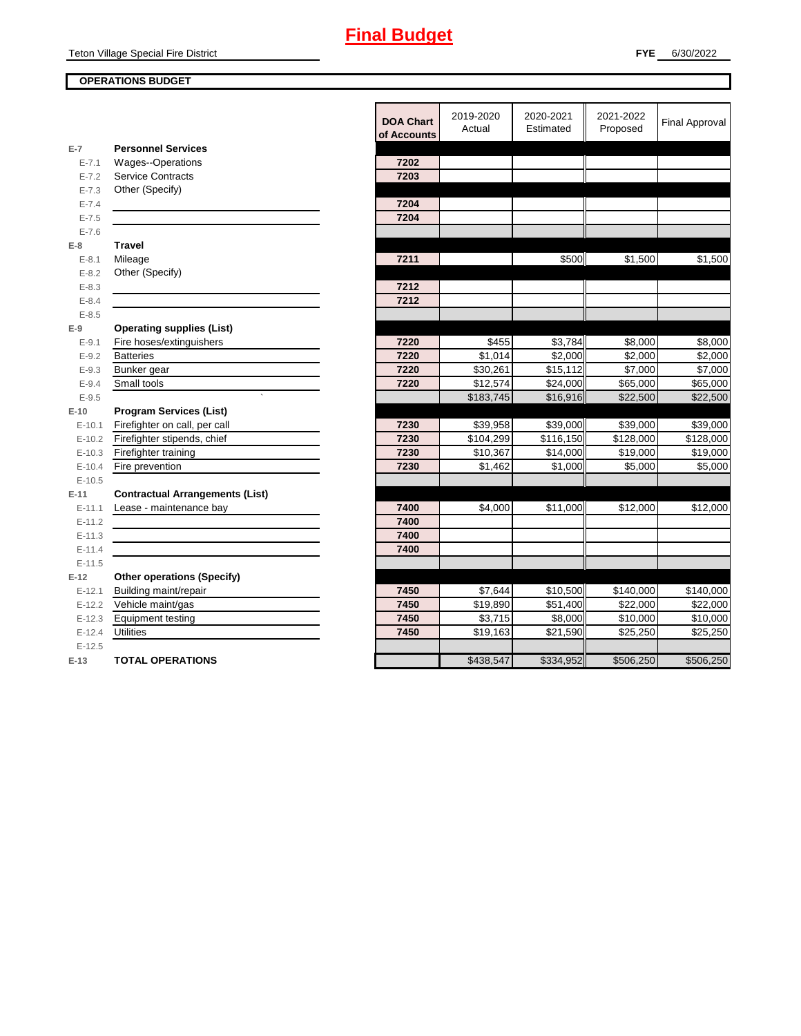#### **OPERATIONS BUDGET**

|            |                                        | <b>DOA Chart</b><br>of Accounts | 2019-2020<br>Actual | 2020-2021<br>Estimated | 2021-2022<br>Proposed | <b>Final Approval</b> |
|------------|----------------------------------------|---------------------------------|---------------------|------------------------|-----------------------|-----------------------|
| $E-7$      | <b>Personnel Services</b>              |                                 |                     |                        |                       |                       |
| $E - 7.1$  | Wages--Operations                      | 7202                            |                     |                        |                       |                       |
| $E - 7.2$  | <b>Service Contracts</b>               | 7203                            |                     |                        |                       |                       |
| $E - 7.3$  | Other (Specify)                        |                                 |                     |                        |                       |                       |
| $E - 7.4$  |                                        | 7204                            |                     |                        |                       |                       |
| $E - 7.5$  |                                        | 7204                            |                     |                        |                       |                       |
| $E - 7.6$  |                                        |                                 |                     |                        |                       |                       |
| $E-8$      | <b>Travel</b>                          |                                 |                     |                        |                       |                       |
| $E - 8.1$  | Mileage                                | 7211                            |                     | \$500                  | \$1,500               | \$1,500               |
| $E - 8.2$  | Other (Specify)                        |                                 |                     |                        |                       |                       |
| $E - 8.3$  |                                        | 7212                            |                     |                        |                       |                       |
| $E - 8.4$  |                                        | 7212                            |                     |                        |                       |                       |
| $E - 8.5$  |                                        |                                 |                     |                        |                       |                       |
| $E-9$      | <b>Operating supplies (List)</b>       |                                 |                     |                        |                       |                       |
| $E - 9.1$  | Fire hoses/extinguishers               | 7220                            | \$455               | \$3,784                | \$8,000               | \$8,000               |
| $E - 9.2$  | <b>Batteries</b>                       | 7220                            | \$1,014             | $\overline{$}2,000$    | \$2,000               | \$2,000               |
| $E - 9.3$  | Bunker gear                            | 7220                            | \$30,261            | \$15,112               | \$7,000               | \$7,000               |
| $E - 9.4$  | Small tools                            | 7220                            | \$12,574            | \$24,000               | \$65,000              | \$65,000              |
| $E - 9.5$  |                                        |                                 | \$183,745           | \$16,916               | \$22,500              | \$22,500              |
| $E-10$     | <b>Program Services (List)</b>         |                                 |                     |                        |                       |                       |
| $E - 10.1$ | Firefighter on call, per call          | 7230                            | \$39,958            | \$39,000               | \$39,000              | \$39,000              |
| $E-10.2$   | Firefighter stipends, chief            | 7230                            | \$104,299           | \$116,150              | \$128,000             | \$128,000             |
| $E-10.3$   | Firefighter training                   | 7230                            | \$10,367            | \$14,000               | \$19,000              | \$19,000              |
| $E-10.4$   | Fire prevention                        | 7230                            | \$1,462             | \$1,000                | \$5,000               | \$5,000               |
| $E-10.5$   |                                        |                                 |                     |                        |                       |                       |
| $E-11$     | <b>Contractual Arrangements (List)</b> |                                 |                     |                        |                       |                       |
| $E-11.1$   | Lease - maintenance bay                | 7400                            | \$4,000             | \$11,000               | \$12,000              | \$12,000              |
| $E-11.2$   |                                        | 7400                            |                     |                        |                       |                       |
| $E-11.3$   |                                        | 7400                            |                     |                        |                       |                       |
| $E - 11.4$ |                                        | 7400                            |                     |                        |                       |                       |
| $E-11.5$   |                                        |                                 |                     |                        |                       |                       |
| $E-12$     | <b>Other operations (Specify)</b>      |                                 |                     |                        |                       |                       |
| $E-12.1$   | Building maint/repair                  | 7450                            | \$7,644             | \$10,500               | \$140,000             | \$140,000             |
| $E-12.2$   | Vehicle maint/gas                      | 7450                            | \$19,890            | \$51,400               | \$22,000              | \$22,000              |
| $E-12.3$   | <b>Equipment testing</b>               | 7450                            | \$3,715             | \$8,000                | \$10,000              | \$10,000              |
| $E-12.4$   | <b>Utilities</b>                       | 7450                            | \$19,163            | \$21,590               | \$25,250              | \$25,250              |
| $E-12.5$   |                                        |                                 |                     |                        |                       |                       |
| $E-13$     | <b>TOTAL OPERATIONS</b>                |                                 | \$438,547           | \$334,952              | \$506,250             | \$506,250             |
|            |                                        |                                 |                     |                        |                       |                       |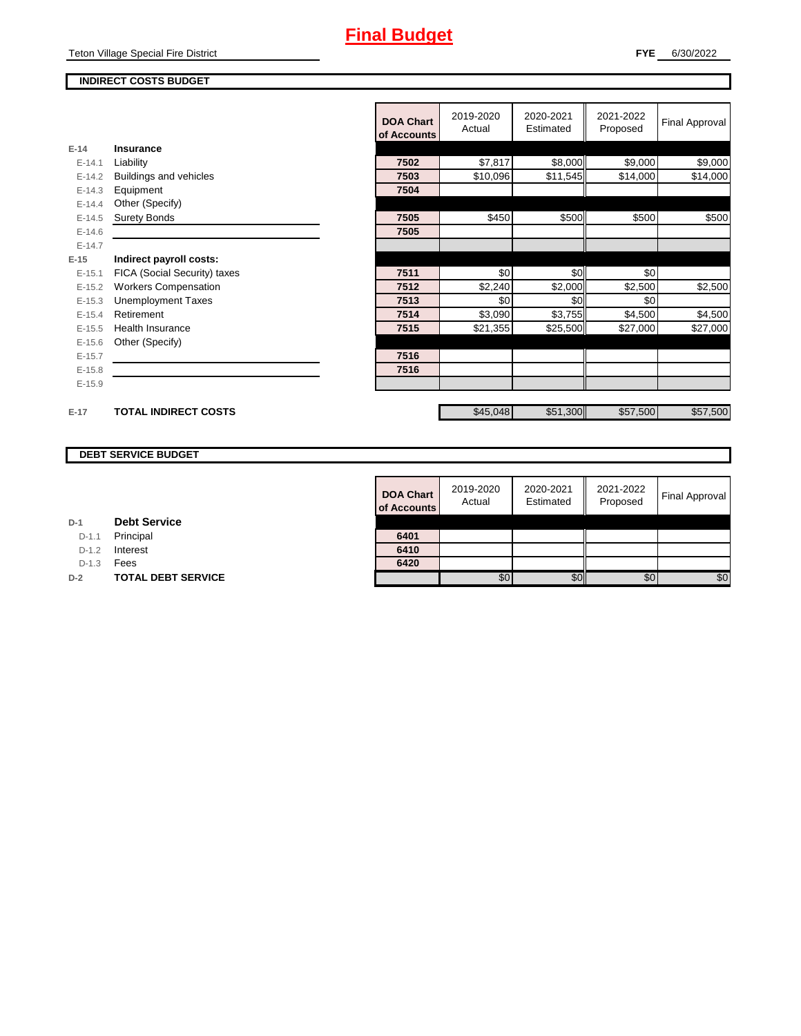Teton Village Special Fire District

#### **INDIRECT COSTS BUDGET**

|          |                              | <b>DOA Chart</b><br>of Accounts | 2019-2020<br>Actual | 2020-2021<br>Estimated | 2021-2022<br>Proposed | <b>Final Approval</b> |
|----------|------------------------------|---------------------------------|---------------------|------------------------|-----------------------|-----------------------|
| $E-14$   | Insurance                    |                                 |                     |                        |                       |                       |
| $E-14.1$ | Liability                    | 7502                            | \$7,817             | \$8,000                | \$9,000               | \$9,000               |
| $E-14.2$ | Buildings and vehicles       | 7503                            | \$10,096            | \$11,545               | \$14,000              | \$14,000              |
| $E-14.3$ | Equipment                    | 7504                            |                     |                        |                       |                       |
| $E-14.4$ | Other (Specify)              |                                 |                     |                        |                       |                       |
| $E-14.5$ | <b>Surety Bonds</b>          | 7505                            | \$450               | \$500                  | \$500                 | \$500                 |
| $E-14.6$ |                              | 7505                            |                     |                        |                       |                       |
| $E-14.7$ |                              |                                 |                     |                        |                       |                       |
| $E-15$   | Indirect payroll costs:      |                                 |                     |                        |                       |                       |
| $E-15.1$ | FICA (Social Security) taxes | 7511                            | \$0                 | \$0                    | \$0                   |                       |
| $E-15.2$ | <b>Workers Compensation</b>  | 7512                            | \$2,240             | \$2,000                | \$2,500               | \$2,500               |
| $E-15.3$ | <b>Unemployment Taxes</b>    | 7513                            | \$0                 | \$0                    | \$0                   |                       |
| $E-15.4$ | Retirement                   | 7514                            | \$3,090             | \$3,755                | \$4,500               | \$4,500               |
| $E-15.5$ | Health Insurance             | 7515                            | \$21,355            | \$25,500               | \$27,000              | \$27,000              |
| $E-15.6$ | Other (Specify)              |                                 |                     |                        |                       |                       |
| $E-15.7$ |                              | 7516                            |                     |                        |                       |                       |
| $E-15.8$ |                              | 7516                            |                     |                        |                       |                       |
| $E-15.9$ |                              |                                 |                     |                        |                       |                       |
|          |                              |                                 |                     |                        |                       |                       |
| $E-17$   | <b>TOTAL INDIRECT COSTS</b>  |                                 | \$45,048            | \$51,300               | \$57,500              | \$57,500              |

### **DEBT SERVICE BUDGET**

| <b>DOA Chart</b><br>of Accounts | 2019-2020<br>Actual | 2020-2021<br>Estimated | 2021-2022<br>Proposed | <b>Final Approval</b> |
|---------------------------------|---------------------|------------------------|-----------------------|-----------------------|
| 6401                            |                     |                        |                       |                       |
| 6410                            |                     |                        |                       |                       |
| 6420                            |                     |                        |                       |                       |
|                                 | 50                  |                        | \$(                   | \$0                   |

| D-1 |  | <b>Debt Service</b> |
|-----|--|---------------------|
|-----|--|---------------------|

D-1.1 Principal

D-1.2 **Interest** 

D-1.3 **Fees** 

**D-2 TOTAL DEBT SERVICE**